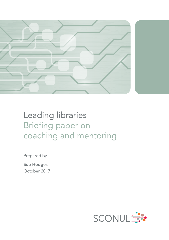

# Leading libraries Briefing paper on coaching and mentoring

Prepared by

Sue Hodges October 2017

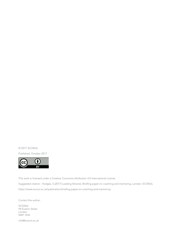© 2017 SCONUL Published: October 2017



This work is licensed under a Creative Commons Attribution 4.0 International License. Suggested citation: Hodges, S (2017) Leading libraries: Briefing paper on coaching and mentoring, London: SCONUL https://www.sconul.ac.uk/publication/briefing-paper-on-coaching-and-mentoring

Contact the author: SCONUL 94 Euston Street London NW1 2HA

info@sconul.ac.uk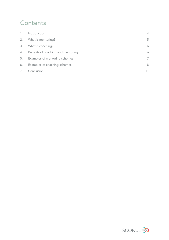# **Contents**

| 1. | Introduction                       | 4  |
|----|------------------------------------|----|
| 2. | What is mentoring?                 | .5 |
| 3. | What is coaching?                  | 6  |
| 4. | Benefits of coaching and mentoring | 6  |
| 5. | Examples of mentoring schemes      | 7  |
| 6. | Examples of coaching schemes       | 8  |
| 7. | Conclusion                         |    |

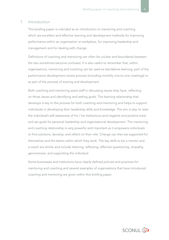## 1. Introduction

This briefing paper is intended as an introduction to mentoring and coaching which are excellent and effective learning and development methods for improving performance within an organisation or workplace, for improving leadership and management and for dealing with change.

Definitions of coaching and mentoring can often be unclear and boundaries between the two sometimes become confused. It is also useful to remember that, within organisations, mentoring and coaching can be used as standalone learning, part of the performance development review process (including monthly one-to-one meetings) or as part of the process of training and development.

Both coaching and mentoring assist staff in discussing issues they have, reflecting on those issues and identifying and setting goals. The learning relationship that develops is key to the process for both coaching and mentoring and helps to support individuals in developing their leadership skills and knowledge. The aim is also to raise the individual's self-awareness of his / her behaviours and negative and positive traits and set goals for personal leadership and organisational development. The mentoring and coaching relationship is very powerful and important as it empowers individuals to find solutions, develop, and reflect on their role. Change can then be supported for themselves and the teams within which they work. The key skills to be a mentor and a coach are similar and include listening, reflecting, effective questioning, empathy, genuineness, and supporting the individual.

Some businesses and institutions have clearly defined policies and practices for mentoring and coaching and several examples of organisations that have introduced coaching and mentoring are given within this briefing paper.

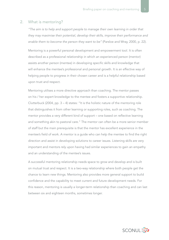## 2. What is mentoring?

*"The aim is to help and support people to manage their own learning in order that they may maximise their potential, develop their skills, improve their performance and enable them to become the person they want to be"* (Parsloe and Wray, 2000, p. 22).

Mentoring is a powerful personal development and empowerment tool. It is often described as a professional relationship in which an experienced person (mentor) assists another person (mentee) in developing specific skills and knowledge that will enhance the mentee's professional and personal growth. It is an effective way of helping people to progress in their chosen career and is a helpful relationship based upon trust and respect.

Mentoring utilises a more directive approach than coaching. The mentor passes on his / her expert knowledge to the mentee and fosters a supportive relationship. Clutterbuck (2004, pp.  $3 - 4$ ) states: "It is the holistic nature of the mentoring role that distinguishes it from other learning or supporting roles, such as coaching. The mentor provides a very different kind of support – one based on reflective learning and something akin to pastoral care." The mentor can often be a more senior member of staff but the main prerequisite is that the mentor has excellent experience in the mentee's field of work. A mentor is a guide who can help the mentee to find the right direction and assist in developing solutions to career issues. Listening skills are very important and mentors rely upon having had similar experiences to gain an empathy and an understanding of the mentee's issues.

A successful mentoring relationship needs space to grow and develop and is built on mutual trust and respect. It is a two-way relationship where both people get the chance to learn new things. Mentoring also provides more general support to build confidence and the capability to meet current and future development needs. For this reason, mentoring is usually a longer-term relationship than coaching and can last between six and eighteen months, sometimes longer.

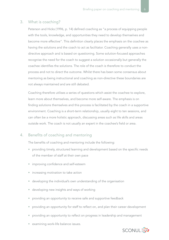# 3. What is coaching?

Peterson and Hicks (1996, p. 14) defined coaching as "a process of equipping people with the tools, knowledge, and opportunities they need to develop themselves and become more effective". This definition clearly places the emphasis on the coachee as having the solutions and the coach to act as facilitator. Coaching generally uses a nondirective approach and is based on questioning. Some solution-focused approaches recognise the need for the coach to suggest a solution occasionally but generally the coachee identifies the solutions. The role of the coach is therefore to conduct the process and not to direct the outcome. Whilst there has been some consensus about mentoring as being instructional and coaching as non-directive these boundaries are not always maintained and are still debated.

Coaching therefore utilises a series of questions which assist the coachee to explore, learn more about themselves, and become more self-aware. The emphasis is on finding solutions themselves and this process is facilitated by the coach in a supportive environment. Coaching is a short-term relationship, usually eight to ten sessions, and can often be a more holistic approach, discussing areas such as life skills and areas outside work. The coach is not usually an expert in the coachee's field or area.

# 4. Benefits of coaching and mentoring

The benefits of coaching and mentoring include the following:

- providing timely, structured learning and development based on the specific needs of the member of staff at their own pace
- improving confidence and self-esteem
- increasing motivation to take action
- developing the individual's own understanding of the organisation
- developing new insights and ways of working
- providing an opportunity to receive safe and supportive feedback
- providing an opportunity for staff to reflect on, and plan their career development
- providing an opportunity to reflect on progress in leadership and management
- examining work-life balance issues.

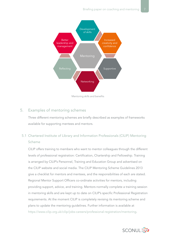

Mentoring skills and benefits

# 5. Examples of mentoring schemes

Three different mentoring schemes are briefly described as examples of frameworks available for supporting mentees and mentors.

# 5.1 Chartered Institute of Library and Information Professionals (CILIP) Mentoring Scheme

CILIP offers training to members who want to mentor colleagues through the different levels of professional registration: Certification, Chartership and Fellowship. Training is arranged by CILIP's Personnel, Training and Education Group and advertised on the CILIP website and social media. The CILIP Mentoring Scheme Guidelines 2013 give a checklist for mentors and mentees, and the responsibilities of each are stated. Regional Mentor Support Officers co-ordinate activities for mentors, including providing support, advice, and training. Mentors normally complete a training session in mentoring skills and are kept up to date on CILIP's specific Professional Registration requirements. At the moment CILIP is completely revising its mentoring scheme and plans to update the mentoring guidelines. Further information is available at <https://www.cilip.org.uk/cilip/jobs-careers/professional-registration/mentoring>.

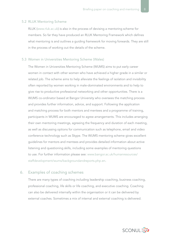#### 5.2 RLUK Mentoring Scheme

RLUK (<www.rluk.ac.uk>) is also in the process of devising a mentoring scheme for members. So far they have produced an RLUK Mentoring Framework which defines what mentoring is and outlines a guiding framework for moving forwards. They are still in the process of working out the details of the scheme.

#### 5.3 Women in Universities Mentoring Scheme (Wales)

The Women in Universities Mentoring Scheme (WUMS) aims to put early career women in contact with other women who have achieved a higher grade in a similar or related job. The scheme aims to help alleviate the feelings of isolation and invisibility often reported by women working in male-dominated environments and to help to give rise to productive professional networking and other opportunities. There is a WUMS co-ordinator based at Bangor University who oversees the matching process and provides further information, advice, and support. Following the application and matching process for both mentors and mentees and a programme of training, participants in WUMS are encouraged to agree arrangements. This includes arranging their own mentoring meetings, agreeing the frequency and duration of each meeting, as well as discussing options for communication such as telephone, email and video conference technology such as Skype. The WUMS mentoring scheme gives excellent guidelines for mentors and mentees and provides detailed information about active listening and questioning skills, including some examples of mentoring questions to use. For further information please see: [www.bangor.ac.uk/humanresources/](www.bangor.ac.uk/humanresources/staffdevelopment/wums/backgroundandreports.php.en) [staffdevelopment/wums/backgroundandreports.php.en](www.bangor.ac.uk/humanresources/staffdevelopment/wums/backgroundandreports.php.en).

# 6. Examples of coaching schemes

There are many types of coaching including leadership coaching, business coaching, professional coaching, life skills or life coaching, and executive coaching. Coaching can also be delivered internally within the organisation or it can be delivered by external coaches. Sometimes a mix of internal and external coaching is delivered.

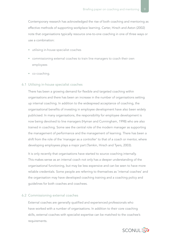Contemporary research has acknowledged the rise of both coaching and mentoring as effective methods of supporting workplace learning. Carter, Hirsch and Aston (2002) note that organisations typically resource one-to-one coaching in one of three ways or use a combination:

- utilising in-house specialist coaches
- commissioning external coaches to train line managers to coach their own employees
- co-coaching.

#### 6.1 Utilising in-house specialist coaches

There has been a growing demand for flexible and targeted coaching within organisations and there has been an increase in the number of organisations setting up internal coaching. In addition to the widespread acceptance of coaching, the organisational benefits of investing in employee development have also been widely publicised. In many organisations, the responsibility for employee development is now being devolved to line managers (Hyman and Cunningham, 1998) who are also trained in coaching. Some see the central role of the modern manager as supporting the management of performance and the management of learning. There has been a shift from the role of the 'manager as a controller' to that of a coach or mentor, where developing employees plays a major part (Tamkin, Hirsch and Tyers, 2003).

It is only recently that organisations have started to source coaching internally. This makes sense as an internal coach not only has a deeper understanding of the organisational functioning, but may be less expensive and can be seen to have more reliable credentials. Some people are referring to themselves as 'internal coaches' and the organisation may have developed coaching training and a coaching policy and guidelines for both coaches and coachees.

#### 6.2 Commissioning external coaches

External coaches are generally qualified and experienced professionals who have worked with a number of organisations. In addition to their core coaching skills, external coaches with specialist expertise can be matched to the coachee's requirements.

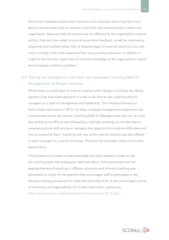Some team members (particularly members of an executive team) may feel more able to discuss issues with an external coach than with someone who is within the organisation. Because external coaches are not affected by the organisation's internal politics, they are more adept at providing sensitive feedback, as well as maintaining objectivity and confidentiality. One of disadvantages of external coaching is its cost, since it is likely to be more expensive than using existing resources. In addition, it might be felt that the coach's lack of intimate knowledge of the organisation's culture and processes could be a problem.

# 6.3 Training line managers to coach their own employees: Coaching Skills for Managers pilot at Bangor University

Whilst there is a small team of internal coaches within Bangor University, the library wanted a less structured approach in order to be able to use coaching skills for managers as a style of management and leadership. This initiative followed on from a major restructure in 2013–14, when a change management programme was implemented across the service. Coaching Skills for Managers was later run as a oneday workshop by HR and was followed by a half-day workshop six months later to measure practical skills and give managers the opportunity to explore difficulties and how to overcome them. Coaching with one of the internal coaches was also offered to each manager on a one-to-one basis. This pilot has now been rolled out to other departments.

The programme focused on the knowledge and skills needed in order to use the coaching style with colleagues, staff and others. Participants explored the appropriateness of coaching in different situations and informal coaching was advocated as a style of management that encourages staff to participate in the decision-making process and to make decisions they trust. It also encourages a sense of ownership and responsibility. For further information, please see: [http://www.sconul.ac.uk/sites/default/files/documents/18\\_13.pdf.](http://www.sconul.ac.uk/sites/default/files/documents/18_13.pdf)